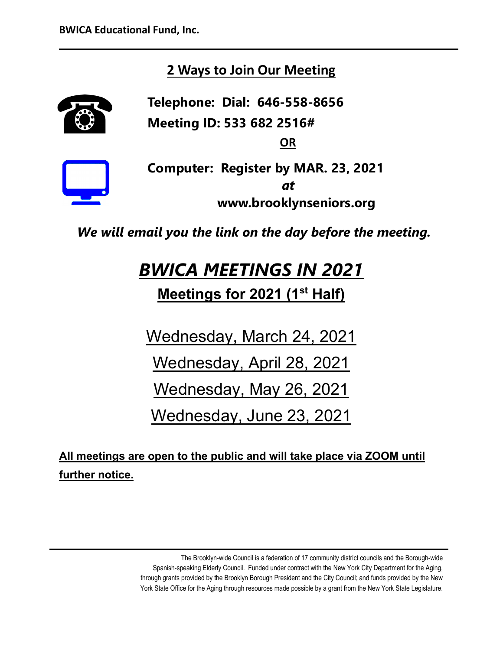## **2 Ways to Join Our Meeting**

**Telephone: Dial: 646-558-8656 Meeting ID: 533 682 2516#**

**OR**



**Computer: Register by MAR. 23, 2021** *at*  **www.brooklynseniors.org**

 *We will email you the link on the day before the meeting.*

# *BWICA MEETINGS IN 2021*

**Meetings for 2021 (1st Half)**

Wednesday, March 24, 2021

Wednesday, April 28, 2021

Wednesday, May 26, 2021

Wednesday, June 23, 2021

**All meetings are open to the public and will take place via ZOOM until further notice.**

> The Brooklyn-wide Council is a federation of 17 community district councils and the Borough-wide Spanish-speaking Elderly Council. Funded under contract with the New York City Department for the Aging, through grants provided by the Brooklyn Borough President and the City Council; and funds provided by the New York State Office for the Aging through resources made possible by a grant from the New York State Legislature.